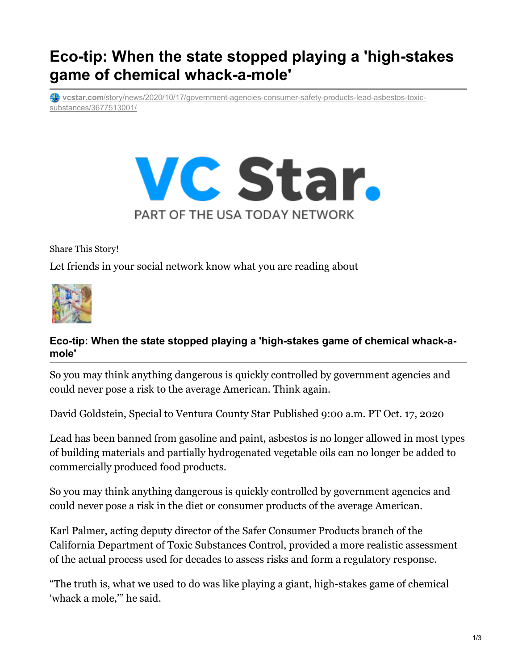## **Eco-tip: When the state stopped playing a 'high-stakes game of chemical whack-a-mole'**

**vcstar.com**[/story/news/2020/10/17/government-agencies-consumer-safety-products-lead-asbestos-toxic](https://www.vcstar.com/story/news/2020/10/17/government-agencies-consumer-safety-products-lead-asbestos-toxic-substances/3677513001/)substances/3677513001/



Share This Story!

Let friends in your social network know what you are reading about



## **Eco-tip: When the state stopped playing a 'high-stakes game of chemical whack-amole'**

So you may think anything dangerous is quickly controlled by government agencies and could never pose a risk to the average American. Think again.

David Goldstein, Special to Ventura County Star Published 9:00 a.m. PT Oct. 17, 2020

Lead has been banned from gasoline and paint, asbestos is no longer allowed in most types of building materials and partially hydrogenated vegetable oils can no longer be added to commercially produced food products.

So you may think anything dangerous is quickly controlled by government agencies and could never pose a risk in the diet or consumer products of the average American.

Karl Palmer, acting deputy director of the Safer Consumer Products branch of the California Department of Toxic Substances Control, provided a more realistic assessment of the actual process used for decades to assess risks and form a regulatory response.

"The truth is, what we used to do was like playing a giant, high-stakes game of chemical 'whack a mole,'" he said.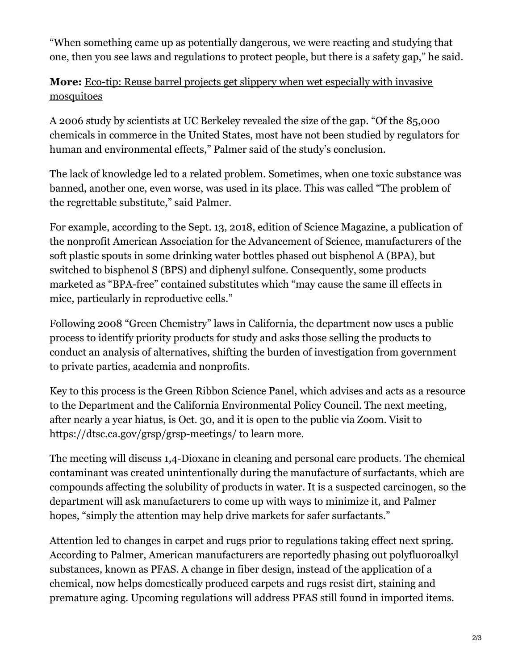"When something came up as potentially dangerous, we were reacting and studying that one, then you see laws and regulations to protect people, but there is a safety gap," he said.

## **More:** Eco-tip: Reuse barrel projects get slippery when wet especially with invasive [mosquitoes](https://www.vcstar.com/story/news/2020/10/10/eco-tip-reuse-projects-rainwater-capture-barrels-mosquito-screens-nets/5929118002/)

A 2006 study by scientists at UC Berkeley revealed the size of the gap. "Of the 85,000 chemicals in commerce in the United States, most have not been studied by regulators for human and environmental effects," Palmer said of the study's conclusion.

The lack of knowledge led to a related problem. Sometimes, when one toxic substance was banned, another one, even worse, was used in its place. This was called "The problem of the regrettable substitute," said Palmer.

For example, according to the Sept. 13, 2018, edition of Science Magazine, a publication of the nonprofit American Association for the Advancement of Science, manufacturers of the soft plastic spouts in some drinking water bottles phased out bisphenol A (BPA), but switched to bisphenol S (BPS) and diphenyl sulfone. Consequently, some products marketed as "BPA-free" contained substitutes which "may cause the same ill effects in mice, particularly in reproductive cells."

Following 2008 "Green Chemistry" laws in California, the department now uses a public process to identify priority products for study and asks those selling the products to conduct an analysis of alternatives, shifting the burden of investigation from government to private parties, academia and nonprofits.

Key to this process is the Green Ribbon Science Panel, which advises and acts as a resource to the Department and the California Environmental Policy Council. The next meeting, after nearly a year hiatus, is Oct. 30, and it is open to the public via Zoom. Visit to https://dtsc.ca.gov/grsp/grsp-meetings/ to learn more.

The meeting will discuss 1,4-Dioxane in cleaning and personal care products. The chemical contaminant was created unintentionally during the manufacture of surfactants, which are compounds affecting the solubility of products in water. It is a suspected carcinogen, so the department will ask manufacturers to come up with ways to minimize it, and Palmer hopes, "simply the attention may help drive markets for safer surfactants."

Attention led to changes in carpet and rugs prior to regulations taking effect next spring. According to Palmer, American manufacturers are reportedly phasing out polyfluoroalkyl substances, known as PFAS. A change in fiber design, instead of the application of a chemical, now helps domestically produced carpets and rugs resist dirt, staining and premature aging. Upcoming regulations will address PFAS still found in imported items.